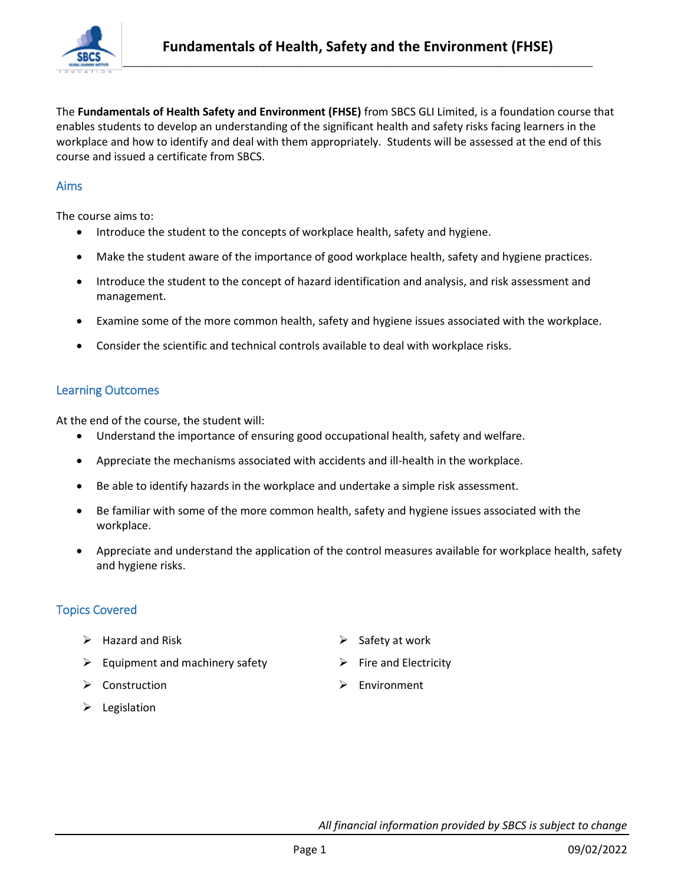

The **Fundamentals of Health Safety and Environment (FHSE)** from SBCS GLI Limited, is a foundation course that enables students to develop an understanding of the significant health and safety risks facing learners in the workplace and how to identify and deal with them appropriately. Students will be assessed at the end of this course and issued a certificate from SBCS.

### Aims

The course aims to:

- Introduce the student to the concepts of workplace health, safety and hygiene.
- Make the student aware of the importance of good workplace health, safety and hygiene practices.
- Introduce the student to the concept of hazard identification and analysis, and risk assessment and management.
- Examine some of the more common health, safety and hygiene issues associated with the workplace.
- Consider the scientific and technical controls available to deal with workplace risks.

#### Learning Outcomes

At the end of the course, the student will:

- Understand the importance of ensuring good occupational health, safety and welfare.
- Appreciate the mechanisms associated with accidents and ill-health in the workplace.
- Be able to identify hazards in the workplace and undertake a simple risk assessment.
- Be familiar with some of the more common health, safety and hygiene issues associated with the workplace.
- Appreciate and understand the application of the control measures available for workplace health, safety and hygiene risks.

# Topics Covered

- $\triangleright$  Hazard and Risk
- $\triangleright$  Equipment and machinery safety
- $\triangleright$  Construction
- $\triangleright$  Legislation
- $\triangleright$  Safety at work
- $\triangleright$  Fire and Electricity
- $\triangleright$  Environment

*All financial information provided by SBCS is subject to change*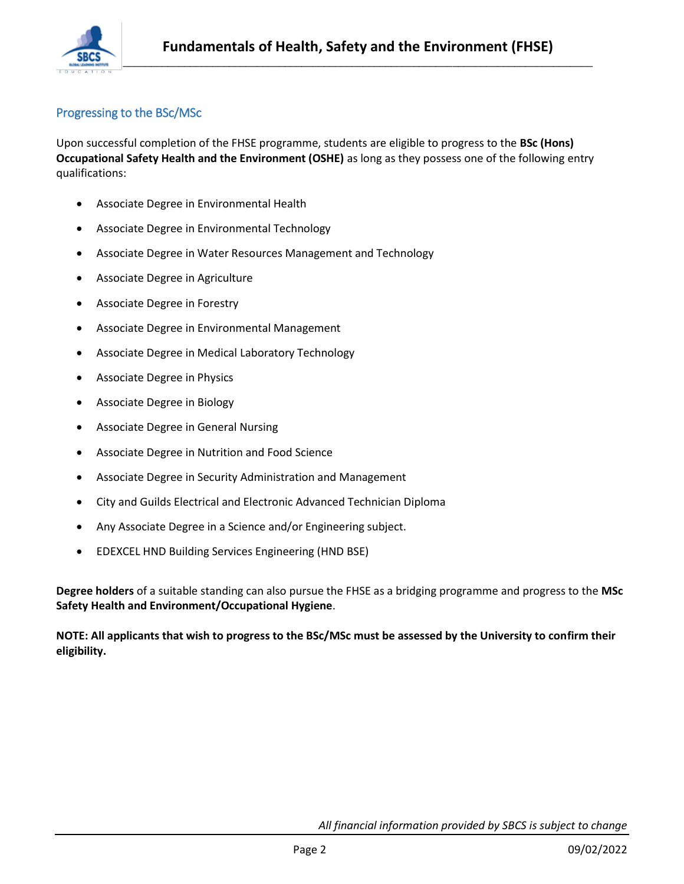

## Progressing to the BSc/MSc

Upon successful completion of the FHSE programme, students are eligible to progress to the **BSc (Hons) Occupational Safety Health and the Environment (OSHE)** as long as they possess one of the following entry qualifications:

- Associate Degree in Environmental Health
- Associate Degree in Environmental Technology
- Associate Degree in Water Resources Management and Technology
- Associate Degree in Agriculture
- Associate Degree in Forestry
- Associate Degree in Environmental Management
- Associate Degree in Medical Laboratory Technology
- Associate Degree in Physics
- Associate Degree in Biology
- Associate Degree in General Nursing
- Associate Degree in Nutrition and Food Science
- Associate Degree in Security Administration and Management
- City and Guilds Electrical and Electronic Advanced Technician Diploma
- Any Associate Degree in a Science and/or Engineering subject.
- EDEXCEL HND Building Services Engineering (HND BSE)

**Degree holders** of a suitable standing can also pursue the FHSE as a bridging programme and progress to the **MSc Safety Health and Environment/Occupational Hygiene**.

**NOTE: All applicants that wish to progress to the BSc/MSc must be assessed by the University to confirm their eligibility.**

*All financial information provided by SBCS is subject to change*